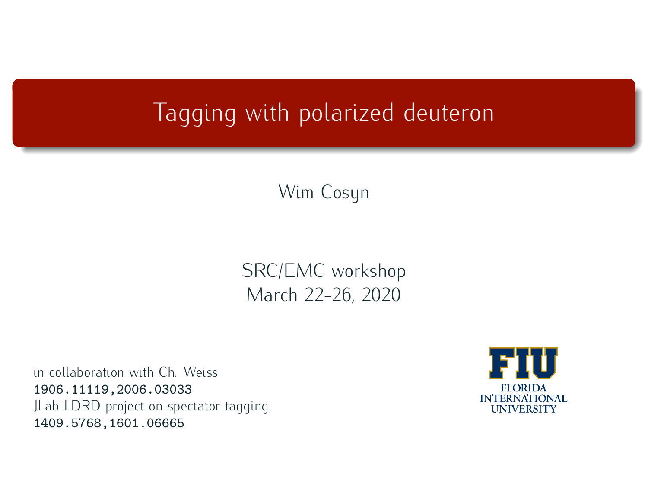## Tagging with polarized deuteron

Wim Cosyn

SRC/EMC workshop<br>March 22-26, 2020 March 22-26, 2020

in collaboration with Ch. Weiss in collaboration with Ch. Weiss 1906.11119,2006.03033 JLab LDRD project on spectator tagging 1409.5768,1601.06665

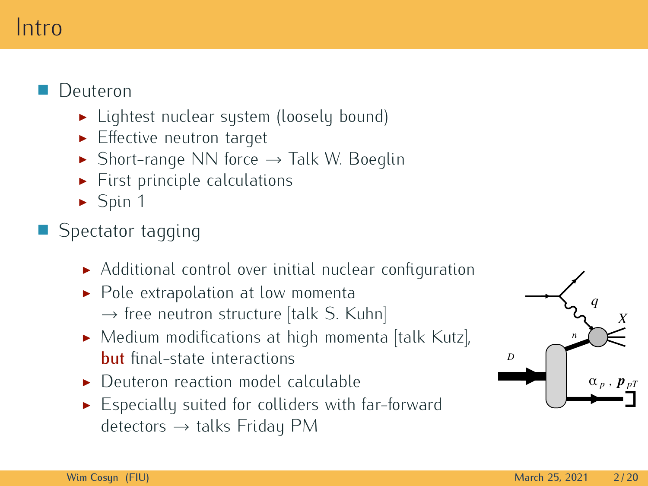#### Intro Intro

#### T. Deuteron

- <del>Deuteron</del><br>Itaht
	- $\blacktriangleright$  Effective neutron target
	- ► Short-range NN force *→* Talk W. Boeglin
	- $\blacktriangleright$  First principle calculations  $\blacktriangleright$  Spin 1
	-

#### ■ Spectator t Spectator tagging

- Additional control over initial nuclear configuration
- Additional control over initial nuclear configuration → free neutron structure [talk S. Kuhn]<br> *Medium modifications* at high momenta
- Medium modifications at high momenta [talk Kutz],  $\frac{1}{\text{but final-state interactions}}$ <br>Dut final-state interactions
- Deuteron reaction model calculable
- **Expecially suited for colliders with** Especially suited for colliders with far-forward detectors *<sup>→</sup>* talks Friday PM

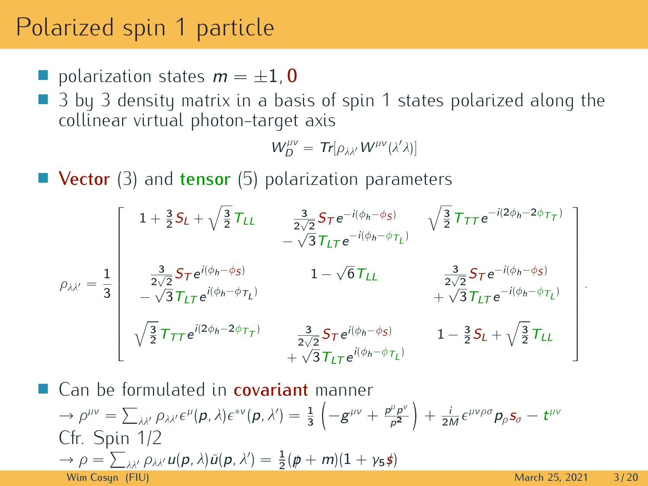### Polarized spin 1 particle

- polarization states  $m = \pm 1$ , **0**<br>A 3 by 3 density matrix in a base
- 3 by 3 density matrix in a basis of spin 1 states polarized along the collinear virtual photon-target axis  $\frac{1}{2}$

$$
W_D^{\mu\nu} = Tr[\rho_{\lambda\lambda'} W^{\mu\nu}(\lambda'\lambda)]
$$

■ Vector (3) and tensor (5) polarization parameters

$$
\rho_{\lambda\lambda'} = \frac{1}{3} \left[ \begin{array}{ccc} 1 + \frac{3}{2}S_L + \sqrt{\frac{3}{2}}T_{LL} & \frac{3}{2\sqrt{2}}S_T e^{-i(\phi_h - \phi_S)} & \sqrt{\frac{3}{2}}T_{TT} e^{-i(2\phi_h - 2\phi_{T_T})} \\ -\sqrt{3}T_{LT} e^{-i(\phi_h - \phi_{T_L})} & & \\ \frac{3}{2\sqrt{2}}S_T e^{i(\phi_h - \phi_S)} & 1 - \sqrt{6}T_{LL} & \frac{3}{2\sqrt{2}}S_T e^{-i(\phi_h - \phi_S)} \\ -\sqrt{3}T_{LT} e^{i(\phi_h - \phi_{T_L})} & & +\sqrt{3}T_{LT} e^{-i(\phi_h - \phi_{T_L})} \\ \sqrt{\frac{3}{2}}T_{TT} e^{i(2\phi_h - 2\phi_{T_T})} & \frac{3}{2\sqrt{2}}S_T e^{i(\phi_h - \phi_S)} & 1 - \frac{3}{2}S_L + \sqrt{\frac{3}{2}}T_{LL} \\ +\sqrt{3}T_{LT} e^{i(\phi_h - \phi_{T_L})} & & \\ \end{array} \right]
$$

*.*

a. Can be formulated in **covariant** manner  $\rightarrow \rho^{\mu\nu} = \sum_{\lambda\lambda'}\rho_{\lambda\lambda'}\epsilon^{\mu}(\boldsymbol{p},\lambda)\epsilon^{*\nu}(\boldsymbol{p},\lambda') = \frac{1}{3}\left(-g^{\mu\nu} + \right)$ p *µ*p *ν*  $\frac{p^{\mu}p^{\nu}}{p^2}\right)$  $+\frac{i}{2M}\epsilon^{\mu\nu\rho\sigma}p_\rho s_\sigma - t^{\mu\nu}$  $\rightarrow$  *ρ* =  $\sum_{\lambda\lambda'}\sum_{\lambda'}\mu(\lambda)}u(p,\lambda)\bar{u}(p,\lambda') = \frac{1}{2}(p+m)(1+\gamma_5\hat{z})$ <br>
Mim Gesup (EU) Wim Cosun (FIU) and the cost of the cost of the cost of the cost of the cost of the cost of the cost of the cost of the cost of the cost of the cost of the cost of the cost of the cost of the cost of the cost of the cost o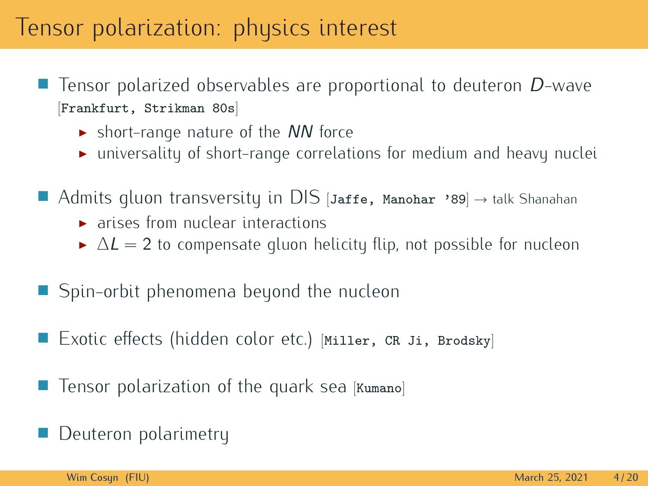#### Tensor polarization: physics interest

- Tensor polarized observables are proportional to deuteron  $D$ -wave [Frankfurt, Strikman 80s]
	- $\triangleright$  short-range nature of the NN force<br> $\triangleright$  universality of short-range correlation
	- $\blacktriangleright$  universality of short-range correlations for medium and heavy nuclei
- Admits gluon transversity in DIS [Jaffe, Manohar '89] *<sup>→</sup>* talk Shanahan
	- $\blacktriangleright$  arises from nuclear interactions
	- $\triangle L = 2$  to compensate gluon helicity flip, not possible for nucleon
- Spin-orbit phenomena beyond the nucleon Spin-orbit phenomena beyond the nucleon
- Exotic effects (hidden color etc.) [Miller, CR Ji, Brodsky]
- $\blacksquare$  Tensor polarization of the quark sea  $[\texttt{Kuman}]\blacksquare$
- a. Deuteron polarimetry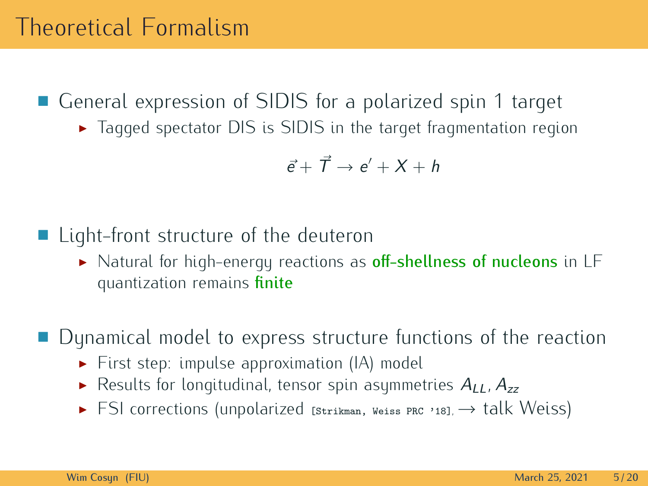■ General expression of SIDIS for a polarized spin 1 target

General expression of SIDIS in the target fragmentation register  $\triangleright$  Tagged spectator DIS is SIDIS in the target fragmentation register Tagged spectator DIS is SIDIS in the target fragmentation region

$$
\vec{e} + \vec{T} \rightarrow e' + X + h
$$

#### ■ Light-front structure of the deuteron

Light-matrix structure of the deuteron.<br>
► Natural for high-energy reactions as off-shellness of nucleons in LF<br>
eventization remains finite quantization remains finite

a.

- Dynamical model to express structure functions of the reaction.<br>► First sten: impulse approximation (IA) model
	- First step: impulse approximation (i.*i*, model<br> **Fig. 1.** Results for longitudinal, tensor spin asymmetries  $A_{LL}$ ,  $A_{zz}$
	- I FSI corrections (unpolarized [Strikman, Weiss PRC '18], *<sup>→</sup>* talk Weiss)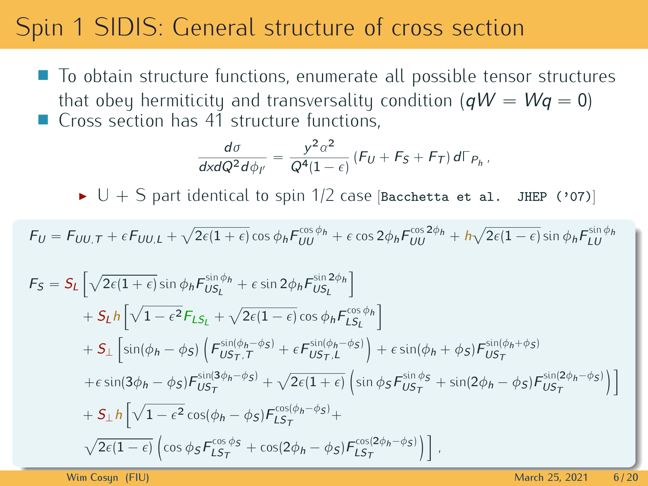# $\mathbb{S}_{\mathbb{R}^2}$  , sidisfies section structure of cross section

• To obtain structure functions, enumerate all possible tensor structures that obey hermiticity and transversality condition  $(qW = Wq = 0)$ <br>Cross section has 41 structure functions. Cross section has 41 structure functions,

$$
\frac{d\sigma}{dx dQ^2 d\phi_{l'}} = \frac{y^2 \alpha^2}{Q^4 (1-\epsilon)} (F_U + F_S + F_T) d\Gamma_{P_h},
$$

 $\blacktriangleright$   $\bigcup$   $+$   $\bigcirc$  part identical to spin 1/2 case [Bacchetta et al.  $\bigcup$  JHEP ('07)]

$$
F_U = F_{UU,T} + \epsilon F_{UU,L} + \sqrt{2\epsilon (1+\epsilon)} \cos \phi_h F_{UU}^{\cos \phi_h} + \epsilon \cos 2\phi_h F_{UU}^{\cos 2\phi_h} + h\sqrt{2\epsilon (1-\epsilon)} \sin \phi_h F_{LU}^{\sin \phi_h}
$$

$$
F_{S} = S_{L} \left[ \sqrt{2\epsilon (1+\epsilon)} \sin \phi_{h} F_{US_{L}}^{\sin \phi_{h}} + \epsilon \sin 2\phi_{h} F_{US_{L}}^{\sin 2\phi_{h}} \right] + S_{L} h \left[ \sqrt{1-\epsilon^{2}} F_{LS_{L}} + \sqrt{2\epsilon (1-\epsilon)} \cos \phi_{h} F_{LS_{L}}^{\cos \phi_{h}} \right] + S_{\perp} \left[ \sin(\phi_{h} - \phi_{S}) \left( F_{US_{T},T}^{\sin(\phi_{h} - \phi_{S})} + \epsilon F_{US_{T},L}^{\sin(\phi_{h} - \phi_{S})} \right) + \epsilon \sin(\phi_{h} + \phi_{S}) F_{US_{T}}^{\sin(\phi_{h} + \phi_{S})} + \epsilon \sin(3\phi_{h} - \phi_{S}) F_{US_{T}}^{\sin(3\phi_{h} - \phi_{S})} + \sqrt{2\epsilon (1+\epsilon)} \left( \sin \phi_{S} F_{US_{T}}^{\sin \phi_{S}} + \sin(2\phi_{h} - \phi_{S}) F_{US_{T}}^{\sin(2\phi_{h} - \phi_{S})} \right) \right] + S_{\perp} h \left[ \sqrt{1-\epsilon^{2}} \cos(\phi_{h} - \phi_{S}) F_{LS_{T}}^{\cos(\phi_{h} - \phi_{S})} + \sqrt{2\epsilon (1-\epsilon)} \left( \cos \phi_{S} F_{LS_{T}}^{\cos \phi_{S}} + \cos(2\phi_{h} - \phi_{S}) F_{LS_{T}}^{\cos(2\phi_{h} - \phi_{S})} \right) \right],
$$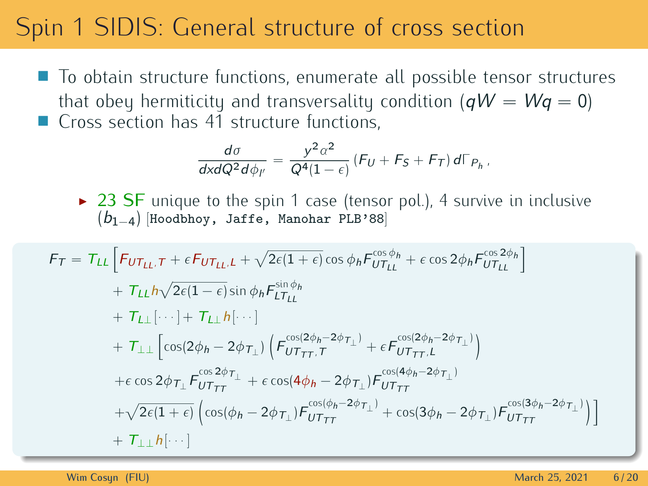# $\mathbb{S}_{\mathbb{R}^2}$  , sidisfies section structure of cross section

• To obtain structure functions, enumerate all possible tensor structures that obey hermiticity and transversality condition  $(qW = Wq = 0)$ <br>Cross section has 41 structure functions Cross section has 41 structure functions.

$$
\frac{d\sigma}{dx dQ^2 d\phi_V} = \frac{y^2 \alpha^2}{Q^4 (1 - \epsilon)} (F_U + F_S + F_T) d\Gamma_{P_h},
$$

 $\rightarrow$  23 SF unique to the spin 1 case (tensor pol.), 4 survive in inclusive (b<sup>1</sup>*−*<sup>4</sup>) [Hoodbhoy, Jaffe, Manohar PLB'88]

$$
F_T = T_{LL} \left[ F_{UT_{LL},T} + \epsilon F_{UT_{LL},L} + \sqrt{2\epsilon(1+\epsilon)} \cos \phi_h F_{UT_{LL}}^{\cos \phi_h} + \epsilon \cos 2\phi_h F_{UT_{LL}}^{\cos 2\phi_h} \right]
$$
  
+ 
$$
T_{LL} \left[ \cdots \right] + T_{LL} \left[ \cdots \right] + T_{LL} \left[ \cdots \right]
$$
  
+ 
$$
T_{LL} \left[ \cdots \right] + T_{LL} \left[ \cdots \right]
$$
  
+ 
$$
T_{LL} \left[ \cos(2\phi_h - 2\phi_{T\perp}) \left( F_{UT_{TT},T}^{\cos(2\phi_h - 2\phi_{T\perp})} + \epsilon F_{UT_{TT},L}^{\cos(2\phi_h - 2\phi_{T\perp})} \right) \right]
$$
  
+ 
$$
\epsilon \cos 2\phi_{T\perp} F_{UT_{TT}}^{\cos 2\phi_{T\perp}} + \epsilon \cos(4\phi_h - 2\phi_{T\perp}) F_{UT_{TT}}^{\cos(4\phi_h - 2\phi_{T\perp})}
$$
  
+ 
$$
\sqrt{2\epsilon(1+\epsilon)} \left( \cos(\phi_h - 2\phi_{T\perp}) F_{UT_{TT}}^{\cos(\phi_h - 2\phi_{T\perp})} + \cos(3\phi_h - 2\phi_{T\perp}) F_{UT_{TT}}^{\cos(3\phi_h - 2\phi_{T\perp})} \right) \right]
$$
  
+ 
$$
T_{\perp\perp} h[\cdots]
$$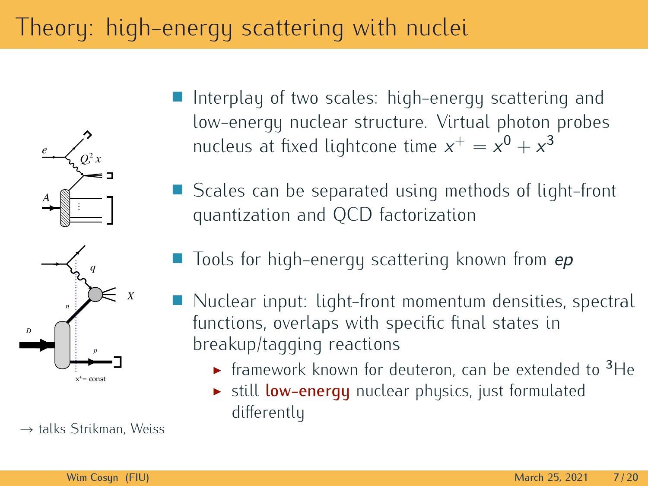# Theory: high-energy scattering with nuclei



*<sup>→</sup>* talks Strikman, Weiss

- $\Box$ Interplay of two scales: high-energy scattering and<br>low-energy nuclear structure. Virtual photon probes nucleus at fixed lightcone time  $x^+ = x^0 + x^3$
- Scales can be separated using methods of light-front quantization and QCD factorization  $q^2$  and  $q^2$  factorization and  $q^2$  is continuous
- $\blacksquare$  Tools for high-energy scattering known from  $ep$
- Nuclear input: light-front momentum densities, spectral functions, overlaps with specific final states in breakup/tagging reactions
	- $\triangleright$  framework known for deuteron, can be extended to  $\frac{3}{1}$ He
		- $\triangleright$  still low-energy nuclear physics, just formulated<br>differently differently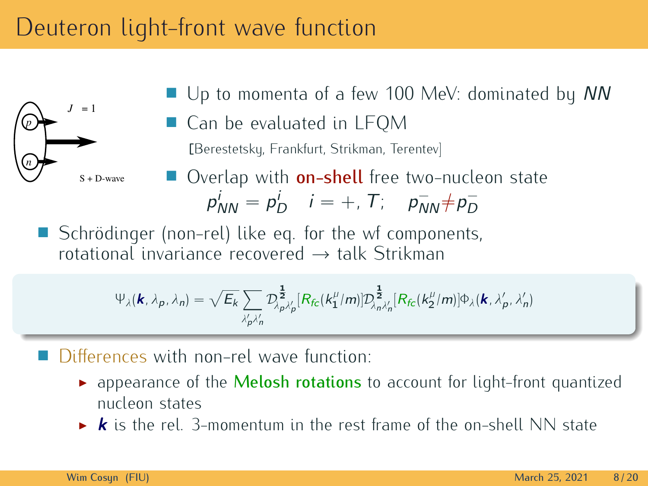### Deuteron light-front wave function



- $\blacksquare$  Up to momenta of a few 100 MeV: dominated by NN<br> $\blacksquare$  C = 1
- Can be evaluated in LFQM Can be evaluated in League<br>Can be evaluated in League [Berestetsky, Frankfurt, Strikman, Terentev]
- Overlap with **on-shell** free two-nucleon state<br> $n^i = n^i$   $i = \pm T$ ;  $n^- \pm n^$  $p_{NN}^i = p_D^i$   $i = +, T; \quad p_{NN}^- \neq p_D^-$

Schrödinger (non-rel) like eq. for the wf components, Schrödinger (non-rel) like eq. for the wf components, rotational invariance recovered *<sup>→</sup>* talk Strikman

$$
\Psi_{\lambda}(\mathbf{k},\lambda_{p},\lambda_{n})=\sqrt{E_{k}}\sum_{\lambda'_{p}\lambda'_{n}}\mathcal{D}_{\lambda_{p}\lambda'_{p}}^{\frac{1}{2}}[R_{f c}(k_{1}^{\mu}/m)]\mathcal{D}_{\lambda_{n}\lambda'_{n}}^{\frac{1}{2}}[R_{f c}(k_{2}^{\mu}/m)]\Phi_{\lambda}(\mathbf{k},\lambda'_{p},\lambda'_{n})
$$

Differences with non-rel wave function:

- **EXECUTE OF THE FUNCTION:**<br> **EXECUTE:** Appearance of the **Melosh rotations** to account for light-front quantized
	- **k** is the rel. 3-momentum in the rest frame of the on-shell NN state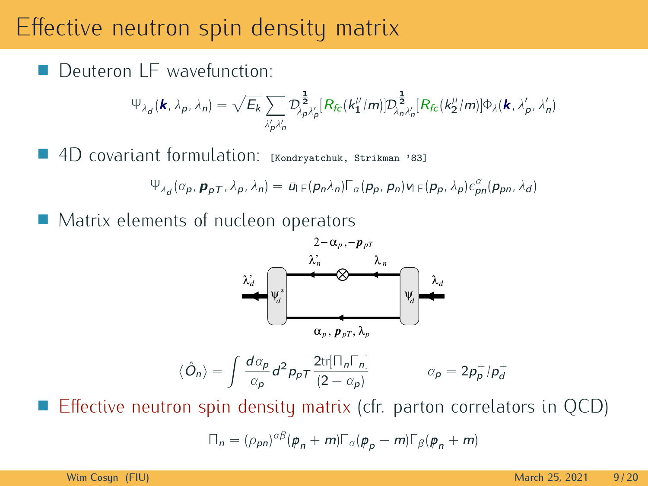#### Effective neutron spin density matrix

Deuteron I F wavefunction: **The Co** Deuteron LF wavefunction:

$$
\Psi_{\lambda_d}(\mathbf{k}, \lambda_p, \lambda_n) = \sqrt{E_k} \sum_{\lambda'_p, \lambda'_n} \mathcal{D}_{\lambda_p, \lambda'_p}^{\frac{1}{2}} [\mathcal{R}_{f_c}(\mathbf{k}_1^{\mu}/m)] \mathcal{D}_{\lambda_n, \lambda'_n}^{\frac{1}{2}} [\mathcal{R}_{f_c}(\mathbf{k}_2^{\mu}/m)] \Phi_{\lambda}(\mathbf{k}, \lambda'_p, \lambda'_n)
$$

■ 4D covariant formulation: [Kondryatchuk, Strikman '83]

$$
\Psi_{\lambda_d}(\alpha_p, \mathbf{p}_{pT}, \lambda_p, \lambda_n) = \bar{u}_{LF}(\mathbf{p}_n \lambda_n) \Gamma_{\alpha}(\mathbf{p}_p, \mathbf{p}_n) \mathbf{v}_{LF}(\mathbf{p}_p, \lambda_p) \epsilon_{pn}^{\alpha}(\mathbf{p}_{pn}, \lambda_d)
$$

• Matrix elements of nucleon operators



$$
\langle \hat{O}_n \rangle = \int \frac{d\alpha_p}{\alpha_p} d^2 p_p \tau \frac{2 \text{tr}[\Pi_n \Gamma_n]}{(2 - \alpha_p)} \qquad \alpha_p = 2p_p^+ / p_d^+
$$

a. Effective neutron spin density matrix (cfr. parton correlators in QCD)

$$
\Pi_n = (\rho_{pn})^{\alpha\beta} (\mathbf{p}_n + m) \Gamma_{\alpha} (\mathbf{p}_p - m) \Gamma_{\beta} (\mathbf{p}_n + m)
$$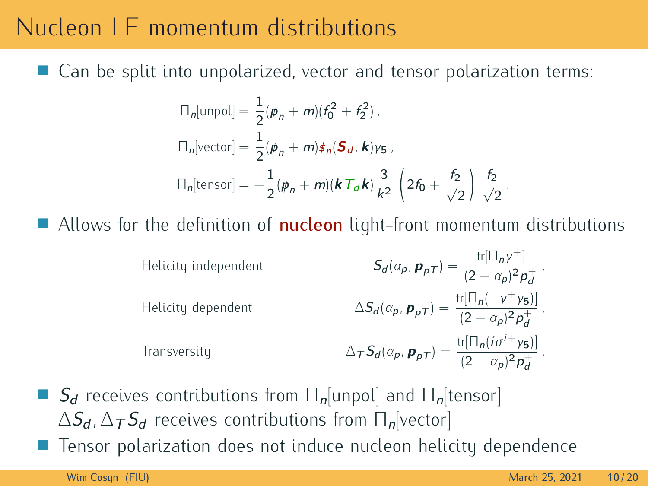#### Nucleon LF momentum distributions Nucleon LF momentum distributions

■ Can be split into unpolarized, vector and tensor polarization terms: Can be split into unpolarized, vector and tensor polarization terms:

$$
\begin{aligned}\n\Box_n[\text{unpol}] &= \frac{1}{2} (\mathbf{p}_n + m)(f_0^2 + f_2^2), \\
\Box_n[\text{vector}] &= \frac{1}{2} (\mathbf{p}_n + m) \mathbf{\hat{z}}_n (\mathbf{S}_d, \mathbf{k}) \gamma_5, \\
\Box_n[\text{tensor}] &= -\frac{1}{2} (\mathbf{p}_n + m)(\mathbf{k} \mathbf{T}_d \mathbf{k}) \frac{3}{k^2} \left( 2f_0 + \frac{f_2}{\sqrt{2}} \right) \frac{f_2}{\sqrt{2}}.\n\end{aligned}
$$

 $\blacksquare$  Allows for the definition of **nucleon** light-front momentum distributions

Helicity independent  
\n
$$
S_d(\alpha_p, \mathbf{p}_{pT}) = \frac{\text{tr}[\Pi_n \gamma^+]}{(2 - \alpha_p)^2 \mathbf{p}_d^+},
$$
\nHelicity dependent  
\n
$$
\Delta S_d(\alpha_p, \mathbf{p}_{pT}) = \frac{\text{tr}[\Pi_n(-\gamma^+ \gamma_5)]}{(2 - \alpha_p)^2 \mathbf{p}_d^+},
$$
\nTransversity  
\n
$$
\Delta_T S_d(\alpha_p, \mathbf{p}_{pT}) = \frac{\text{tr}[\Pi_n(i\sigma^{i+} \gamma_5)]}{(2 - \alpha_p)^2 \mathbf{p}_d^+},
$$

**S** S<sub>d</sub> receives contributions from  $\prod_{n}$ [unpol] and  $\prod_{n}$ [tensor]  $\Delta S_d$ ,  $\Delta T S_d$  receives contributions from  $\Pi_n$ [vector] Ë Tensor polarization does not induce nucleon helicity dependence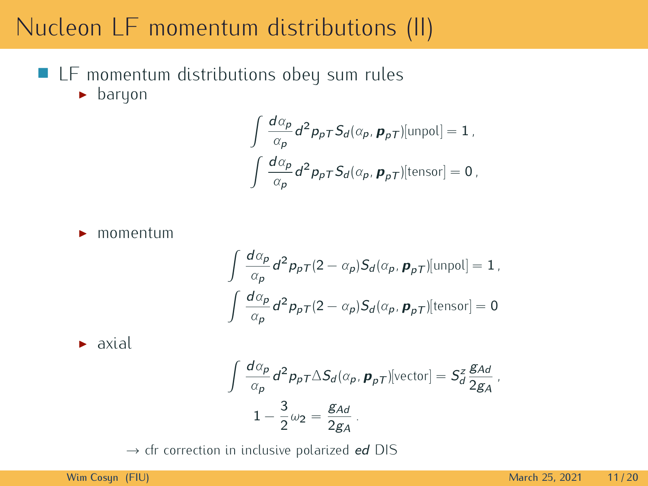#### Nucleon LF momentum distributions (II)

**ELF** momentum distributions obey sum rules  $\blacktriangleright$  baryon

$$
\int \frac{d\alpha_p}{\alpha_p} d^2 p_p \tau S_d(\alpha_p, \mathbf{p}_{p\tau})[\text{unpol}] = 1,
$$
  

$$
\int \frac{d\alpha_p}{\alpha_p} d^2 p_p \tau S_d(\alpha_p, \mathbf{p}_{p\tau})[\text{tensor}] = 0,
$$

 $\blacktriangleright$  momentum

$$
\int \frac{d\alpha_p}{\alpha_p} d^2 p_p \tau (2 - \alpha_p) S_d(\alpha_p, \mathbf{p}_p \tau) [\text{unpol}] = 1,
$$
  

$$
\int \frac{d\alpha_p}{\alpha_p} d^2 p_p \tau (2 - \alpha_p) S_d(\alpha_p, \mathbf{p}_p \tau) [\text{tensor}] = 0
$$

 $\triangleright$  axial axial

$$
\int \frac{d\alpha_p}{\alpha_p} d^2 p_p \tau \Delta S_d(\alpha_p, \mathbf{p}_{pT}) [\text{vector}] = S_d^z \frac{g_{Ad}}{2g_A},
$$
  

$$
1 - \frac{3}{2} \omega_2 = \frac{g_{Ad}}{2g_A}.
$$

*<sup>→</sup>* cfr correction in inclusive polarized ed DIS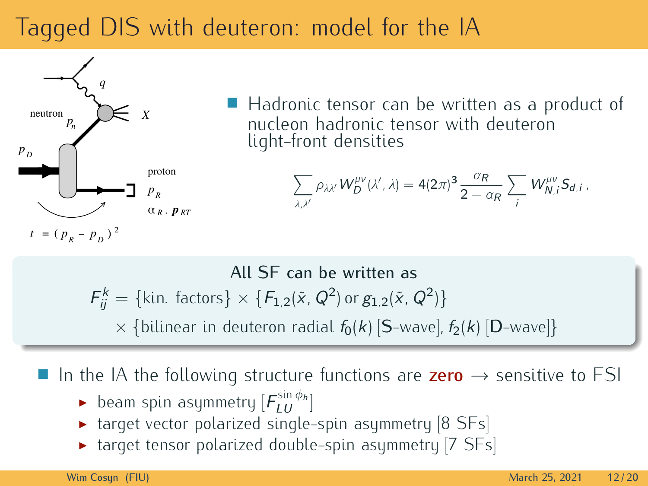# Tagged DIS with deuteron: model for the IA



■ Hadronic tensor can be written as a product of nucleon hadronic tensor with deuteron light-front densities light-front densities

$$
\sum_{\lambda,\lambda'} \rho_{\lambda\lambda'} W^{\mu\nu}_D(\lambda',\lambda) = 4(2\pi)^3 \frac{\alpha_R}{2-\alpha_R} \sum_i W^{\mu\nu}_{N,i} S_{d,i} \,,
$$

All SF can be written as  $F_{ij}^k = {\text{kin. factors}} \times \{F_{1,2}(\tilde{x}, Q^2) \text{ or } g_{1,2}(\tilde{x}, Q^2)\}$  $\times$  {bilinear in deuteron radial  $f_0(k)$  [S-wave],  $f_2(k)$  [D-wave]}

**■** In the IA the following structure functions are **zero**  $\rightarrow$  sensitive to FSI

- beam spin asymmetry  $[F_{LU}^{\sin\phi_h}]$
- $\triangleright$  beam spin asymmetry  $\lfloor r_{LU} \rfloor$
- target tensor polarized single-spin asymmetry [7 SFs]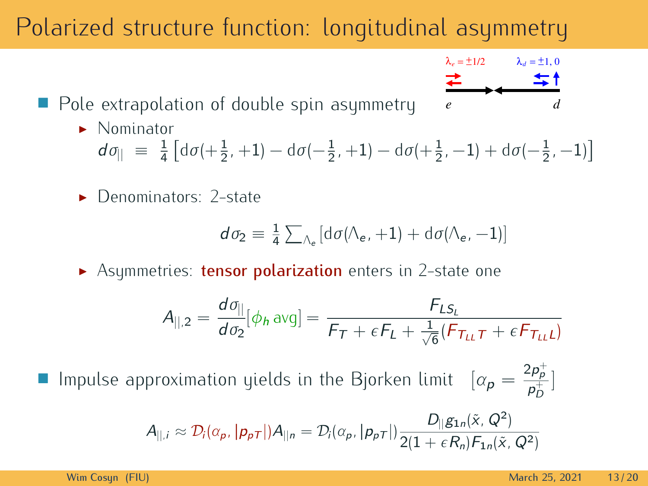# Polarized structure function: longitudinal asymmetry

J. Pole extrapolation of double spin asymmetry

 $d\sigma_{\parallel} \equiv \frac{1}{4} \left[ d\sigma \left( +\frac{1}{2}, +1 \right) - d\sigma \left( -\frac{1}{2}, +1 \right) - d\sigma \left( +\frac{1}{2}, -1 \right) + d\sigma \left( -\frac{1}{2}, -1 \right) \right]$ 

 $\triangleright$  Denominators: 2-state

$$
d\sigma_2 \equiv \frac{1}{4} \sum_{\Lambda_e} \left[ d\sigma(\Lambda_e, +1) + d\sigma(\Lambda_e, -1) \right]
$$

 $\blacktriangleright$  Asymmetries: tensor polarization enters in 2-state one

$$
A_{\parallel,2} = \frac{d\sigma_{\parallel}}{d\sigma_2}[\phi_h \text{avg}] = \frac{F_{LS_L}}{F_T + \epsilon F_L + \frac{1}{\sqrt{6}}(F_{T_{LL}}\tau + \epsilon F_{T_{LL}}L)}
$$

a. Impulse approximation yields in the Bjorken limit  $\left[ \alpha_{p} = \frac{2p_{p}^{+}}{p_{D}^{+}} \right]$ ]

$$
A_{\parallel,i} \approx \mathcal{D}_i(\alpha_p, |\mathbf{p}_{\rho\mathcal{T}}|)A_{\parallel n} = \mathcal{D}_i(\alpha_p, |\mathbf{p}_{\rho\mathcal{T}}|) \frac{D_{\parallel}g_{1n}(\tilde{x}, Q^2)}{2(1 + \epsilon R_n)\mathcal{F}_{1n}(\tilde{x}, Q^2)}
$$

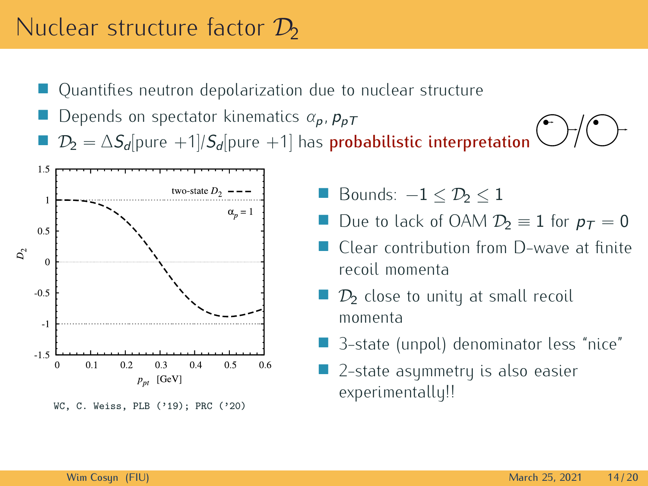#### Nuclear structure factor  $\mathcal{D}_2$

- $\mathcal{A}$
- Quantifies neutron depolarization due to nuclear structure Depends on spectator kinematics *<sup>α</sup>*p*,* <sup>p</sup>pT J.
- *D*<sub>2</sub> =  $\Delta S_d$ [pure +1]*/S<sub>d</sub>*[pure +1] has **probabilistic interpretation** 1.5



 Bounds:  $-1 \leq D_2 \leq 1$ 

- a. Due to lack of OAM  $D_2 \equiv 1$  for  $p_T = 0$ <br>Clear contribution from D-wave at finite
- T. recoil momenta
- $\Box$   $\mathcal{D}_2$  close to unity at small recoil
- 3-state (unpol) denominator less "nice" a.
- 2-state asymmetry is also easier a. 2-state asymmetry is also easier experimentally!!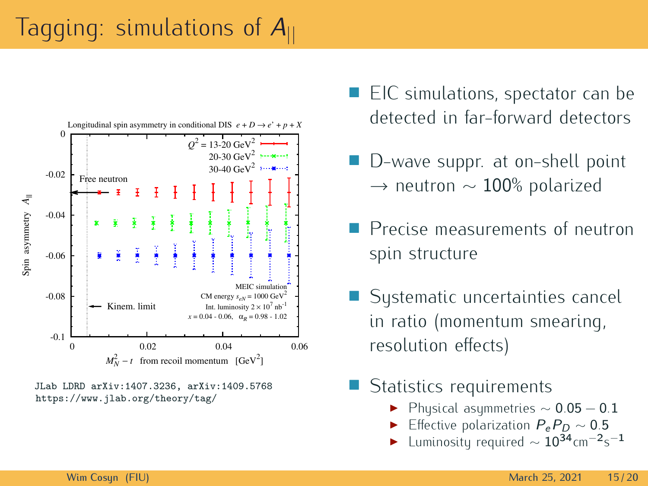# Tagging: simulations of <sup>A</sup>*||*



JLab LDRD arXiv:1407.3236, arXiv:1409.5768 https://www.jlab.org/theory/tag/

- EIC simulations, spectator can be detected in far-forward detectors
- $\Box$ D-wave suppr. at on-shell point *<sup>→</sup>* neutron *<sup>∼</sup>* <sup>100</sup>% polarized
- $\Box$ Precise measurements of neutron Precise measurements of neutron spin structure
- Sustematic uncertainties cancel in ratio (momentum smearing, in ratio (momentum smearing, resolution enecto<sub>l</sub>
- П
	- Statistics requirements Physical asymmetries *<sup>∼</sup>* <sup>0</sup>*.*<sup>05</sup> *<sup>−</sup>* <sup>0</sup>*.*<sup>1</sup> I
		- I Effective polarization  $P_e P_D \sim 0.5$
		- I Luminosity required *<sup>∼</sup>* <sup>10</sup>34cm*−*<sup>2</sup> s *−*1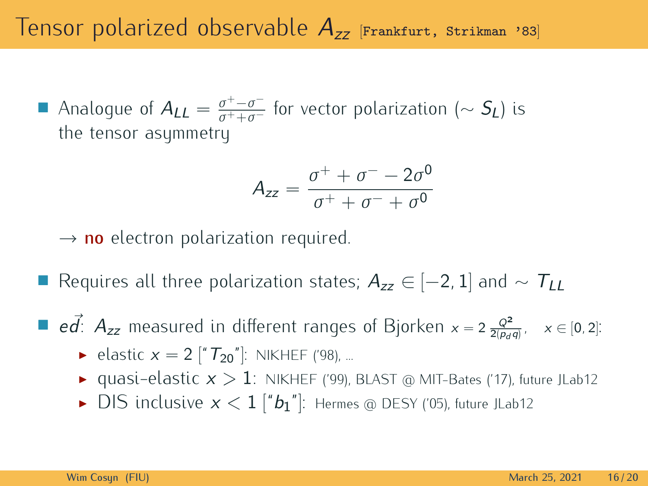Analogue of  $A_{LL} = \frac{\sigma^+ - \sigma^-}{\sigma^+ + \sigma^-}$  for vector polarization ( $\sim S_L$ ) is the tensor asummetry the tensor asymmetry

$$
A_{zz} = \frac{\sigma^+ + \sigma^- - 2\sigma^0}{\sigma^+ + \sigma^- + \sigma^0}
$$

*<sup>→</sup>* no electron polarization required.

Requires all three polarization states; <sup>A</sup>zz *<sup>∈</sup>* [*−*2*,* <sup>1</sup>] and *<sup>∼</sup>* <sup>T</sup>LL

**■**  $\epsilon \vec{d}$ :  $A_{zz}$  measured in different ranges of Bjorken  $x = 2 \frac{Q^2}{2(p_d q)}$ ,  $x \in [0, 2]$ :

- ► elastic  $x = 2$   $[{}^{\prime\prime}T_{20}{}^{\prime\prime}]$ : NIKHEF ('98), ...
- quasi-elastic  $x > 1$ : NIKHEF ('99), BLAST @ MIT-Bates ('17), future JLab12<br>DIS inclusive  $x < 1$  ["b."<sup>1</sup>): Herman @ DESY ('05), future JLab12
- ▶ DIS inclusive  $x < 1$   $["b<sub>1</sub>"]$ : Hermes @ DESY ('05), future JLab12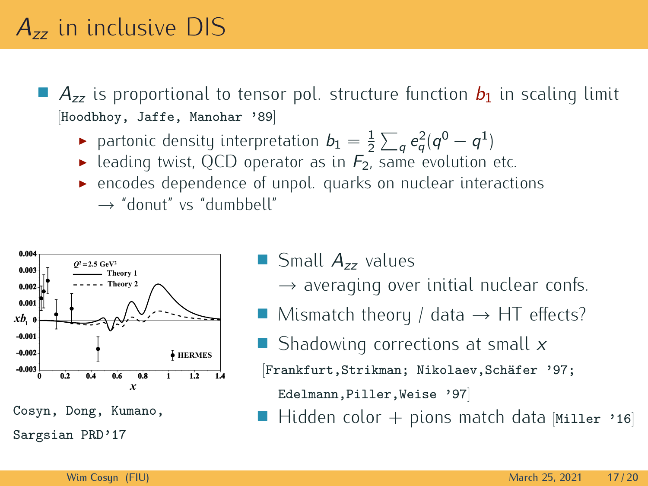$\Box$   $A_{zz}$  is proportional to tensor pol. structure function  $b_1$  in scaling limit [Hoodbhoy, Jaffe, Manohar '89]

- **►** partonic density interpretation  $b_1 = \frac{1}{2} \sum_q e_q^2 (q^0 q^1)$
- reading twist, QCD operator as in  $F_2$ , same evolution etc.
- encodes dependence of unpol. quarks on nuclear interactions encodes dependence of unpol. quarks on nuclear interactions *<sup>→</sup>* "donut" vs "dumbbell"



Cosyn, Dong, Kumano, Sargsian PRD'17

- Small  $A_{zz}$  values
	- *<sup>→</sup>* averaging over initial nuclear confs.
- Mismatch theory / data *<sup>→</sup>* HT effects?
- Shadowing corrections at small  $x$
- [Frankfurt,Strikman; Nikolaev,Schäfer '97;

Edelmann,Piller,Weise '97]

П Hidden color + pions match data  $[Mi11er 16]$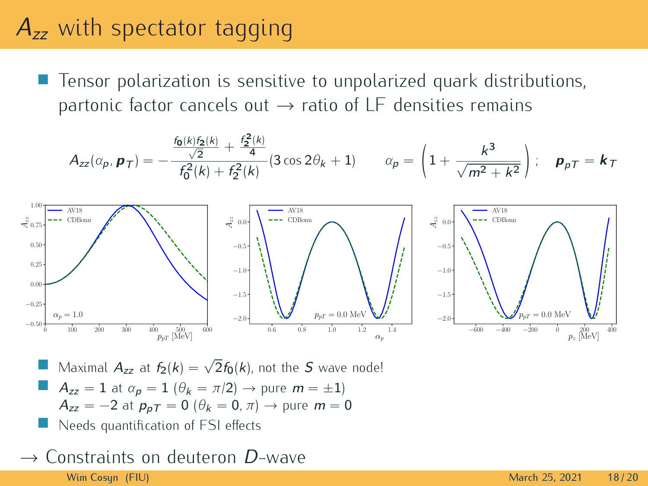### $A_{zz}$  with spectator tagging

 $\mathcal{A}$ Tensor polarization is sensitive to unpolarized quark distributions,

$$
A_{zz}(\alpha_p, \mathbf{p}_T) = -\frac{\frac{f_0(k)f_2(k)}{\sqrt{2}} + \frac{f_2^2(k)}{4}}{f_0^2(k) + f_2^2(k)} (3\cos 2\theta_k + 1) \qquad \alpha_p = \left(1 + \frac{k^3}{\sqrt{m^2 + k^2}}\right); \quad \mathbf{p}_{pT} = \mathbf{k}_T
$$





a. Maximal  $A_{zz}$  at  $f_2(k) = \sqrt{2}f_0(k)$ , not the S wave node!

- $A_{zz} = 1$  at  $\alpha_p = 1$  ( $\theta_k = \pi/2$ )  $\rightarrow$  pure  $m = \pm 1$ )  $A_{zz} = -2$  at  $p_{pT} = 0$  ( $\theta_k = 0$ ,  $\pi$ )  $\rightarrow$  pure  $m = 0$
- a. Needs quantification of FSI effects

#### Constraints on deuteron D-wave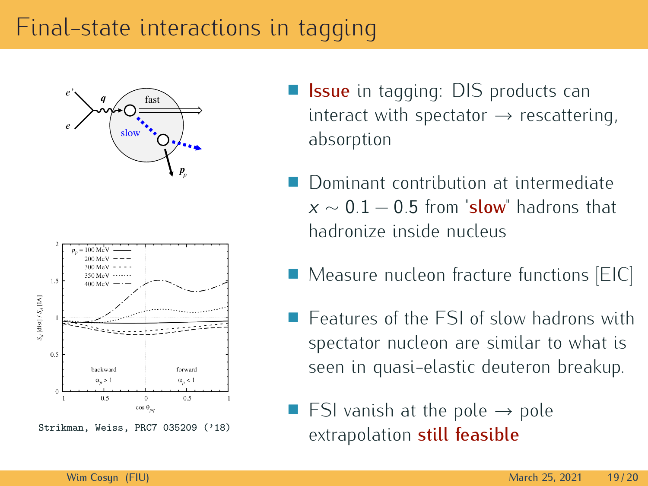#### Final-state interactions in tagging





- **Issue** in tagging: DIS products can interact with spectator *<sup>→</sup>* rescattering, absorption
- Dominant contribution at intermediate Dominant contribution at intermediate <sup>x</sup> *<sup>∼</sup>* <sup>0</sup>*.*<sup>1</sup> *<sup>−</sup>* <sup>0</sup>*.*<sup>5</sup> from "slow" hadrons that
- П Measure nucleon fracture functions [EIC]
- Features of the FSI of slow hadrons with spectator nucleon are similar to what is spectator nucleon are similar to milar to seen in quasi-elastic deuteron breakup.
- FSI vanish at the pole → pole<br>extrapolation **still foacible** extrapolation still feasible